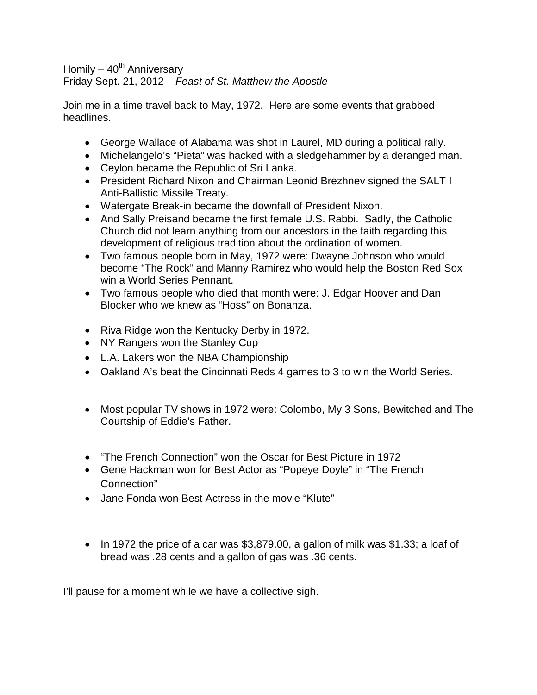Homily  $-40^{th}$  Anniversary Friday Sept. 21, 2012 – *Feast of St. Matthew the Apostle*

Join me in a time travel back to May, 1972. Here are some events that grabbed headlines.

- George Wallace of Alabama was shot in Laurel, MD during a political rally.
- Michelangelo's "Pieta" was hacked with a sledgehammer by a deranged man.
- Ceylon became the Republic of Sri Lanka.
- President Richard Nixon and Chairman Leonid Brezhnev signed the SALT I Anti-Ballistic Missile Treaty.
- Watergate Break-in became the downfall of President Nixon.
- And Sally Preisand became the first female U.S. Rabbi. Sadly, the Catholic Church did not learn anything from our ancestors in the faith regarding this development of religious tradition about the ordination of women.
- Two famous people born in May, 1972 were: Dwayne Johnson who would become "The Rock" and Manny Ramirez who would help the Boston Red Sox win a World Series Pennant.
- Two famous people who died that month were: J. Edgar Hoover and Dan Blocker who we knew as "Hoss" on Bonanza.
- Riva Ridge won the Kentucky Derby in 1972.
- NY Rangers won the Stanley Cup
- L.A. Lakers won the NBA Championship
- Oakland A's beat the Cincinnati Reds 4 games to 3 to win the World Series.
- Most popular TV shows in 1972 were: Colombo, My 3 Sons, Bewitched and The Courtship of Eddie's Father.
- "The French Connection" won the Oscar for Best Picture in 1972
- Gene Hackman won for Best Actor as "Popeye Doyle" in "The French Connection"
- Jane Fonda won Best Actress in the movie "Klute"
- In 1972 the price of a car was \$3,879.00, a gallon of milk was \$1.33; a loaf of bread was .28 cents and a gallon of gas was .36 cents.

I'll pause for a moment while we have a collective sigh.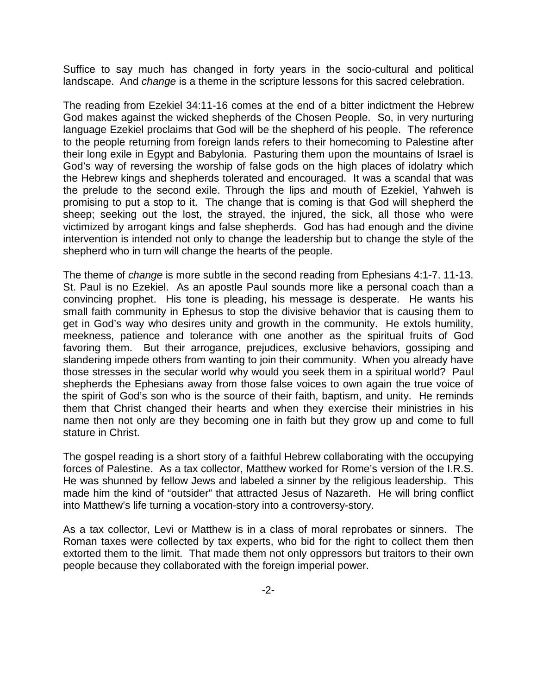Suffice to say much has changed in forty years in the socio-cultural and political landscape. And *change* is a theme in the scripture lessons for this sacred celebration.

The reading from Ezekiel 34:11-16 comes at the end of a bitter indictment the Hebrew God makes against the wicked shepherds of the Chosen People. So, in very nurturing language Ezekiel proclaims that God will be the shepherd of his people. The reference to the people returning from foreign lands refers to their homecoming to Palestine after their long exile in Egypt and Babylonia. Pasturing them upon the mountains of Israel is God's way of reversing the worship of false gods on the high places of idolatry which the Hebrew kings and shepherds tolerated and encouraged. It was a scandal that was the prelude to the second exile. Through the lips and mouth of Ezekiel, Yahweh is promising to put a stop to it. The change that is coming is that God will shepherd the sheep; seeking out the lost, the strayed, the injured, the sick, all those who were victimized by arrogant kings and false shepherds. God has had enough and the divine intervention is intended not only to change the leadership but to change the style of the shepherd who in turn will change the hearts of the people.

The theme of *change* is more subtle in the second reading from Ephesians 4:1-7. 11-13. St. Paul is no Ezekiel. As an apostle Paul sounds more like a personal coach than a convincing prophet. His tone is pleading, his message is desperate. He wants his small faith community in Ephesus to stop the divisive behavior that is causing them to get in God's way who desires unity and growth in the community. He extols humility, meekness, patience and tolerance with one another as the spiritual fruits of God favoring them. But their arrogance, prejudices, exclusive behaviors, gossiping and slandering impede others from wanting to join their community. When you already have those stresses in the secular world why would you seek them in a spiritual world? Paul shepherds the Ephesians away from those false voices to own again the true voice of the spirit of God's son who is the source of their faith, baptism, and unity. He reminds them that Christ changed their hearts and when they exercise their ministries in his name then not only are they becoming one in faith but they grow up and come to full stature in Christ.

The gospel reading is a short story of a faithful Hebrew collaborating with the occupying forces of Palestine. As a tax collector, Matthew worked for Rome's version of the I.R.S. He was shunned by fellow Jews and labeled a sinner by the religious leadership. This made him the kind of "outsider" that attracted Jesus of Nazareth. He will bring conflict into Matthew's life turning a vocation-story into a controversy-story.

As a tax collector, Levi or Matthew is in a class of moral reprobates or sinners. The Roman taxes were collected by tax experts, who bid for the right to collect them then extorted them to the limit. That made them not only oppressors but traitors to their own people because they collaborated with the foreign imperial power.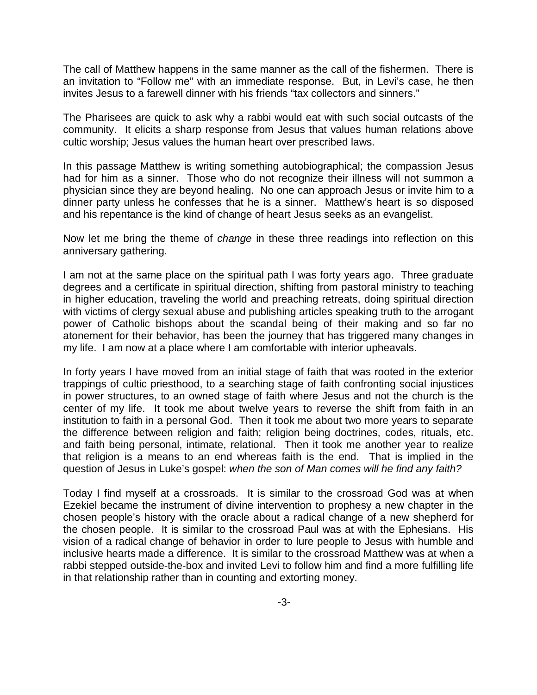The call of Matthew happens in the same manner as the call of the fishermen. There is an invitation to "Follow me" with an immediate response. But, in Levi's case, he then invites Jesus to a farewell dinner with his friends "tax collectors and sinners."

The Pharisees are quick to ask why a rabbi would eat with such social outcasts of the community. It elicits a sharp response from Jesus that values human relations above cultic worship; Jesus values the human heart over prescribed laws.

In this passage Matthew is writing something autobiographical; the compassion Jesus had for him as a sinner. Those who do not recognize their illness will not summon a physician since they are beyond healing. No one can approach Jesus or invite him to a dinner party unless he confesses that he is a sinner. Matthew's heart is so disposed and his repentance is the kind of change of heart Jesus seeks as an evangelist.

Now let me bring the theme of *change* in these three readings into reflection on this anniversary gathering.

I am not at the same place on the spiritual path I was forty years ago. Three graduate degrees and a certificate in spiritual direction, shifting from pastoral ministry to teaching in higher education, traveling the world and preaching retreats, doing spiritual direction with victims of clergy sexual abuse and publishing articles speaking truth to the arrogant power of Catholic bishops about the scandal being of their making and so far no atonement for their behavior, has been the journey that has triggered many changes in my life. I am now at a place where I am comfortable with interior upheavals.

In forty years I have moved from an initial stage of faith that was rooted in the exterior trappings of cultic priesthood, to a searching stage of faith confronting social injustices in power structures, to an owned stage of faith where Jesus and not the church is the center of my life. It took me about twelve years to reverse the shift from faith in an institution to faith in a personal God. Then it took me about two more years to separate the difference between religion and faith; religion being doctrines, codes, rituals, etc. and faith being personal, intimate, relational. Then it took me another year to realize that religion is a means to an end whereas faith is the end. That is implied in the question of Jesus in Luke's gospel: *when the son of Man comes will he find any faith?* 

Today I find myself at a crossroads. It is similar to the crossroad God was at when Ezekiel became the instrument of divine intervention to prophesy a new chapter in the chosen people's history with the oracle about a radical change of a new shepherd for the chosen people. It is similar to the crossroad Paul was at with the Ephesians. His vision of a radical change of behavior in order to lure people to Jesus with humble and inclusive hearts made a difference. It is similar to the crossroad Matthew was at when a rabbi stepped outside-the-box and invited Levi to follow him and find a more fulfilling life in that relationship rather than in counting and extorting money.